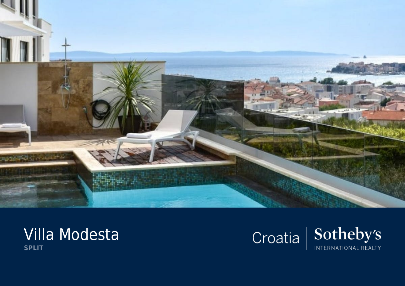

## Villa Modesta **SPLIT**

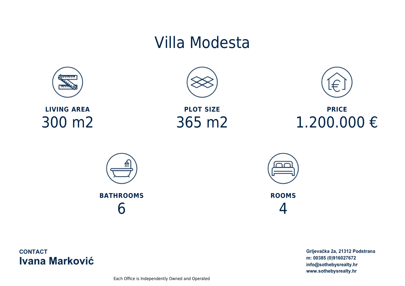## Villa Modesta



**LIVING AREA** 300 m2



**PLOT SIZE** 365 m2



**PRICE** 1.200.000 €





**ROOMS** 4

**CONTACT Ivana Marković**  Grljevačka 2a, 21312 Podstrana m: 00385 (0)916027672 info@sothebysrealty.hr www.sothebysrealty.hr

Each Office is Independently Owned and Operated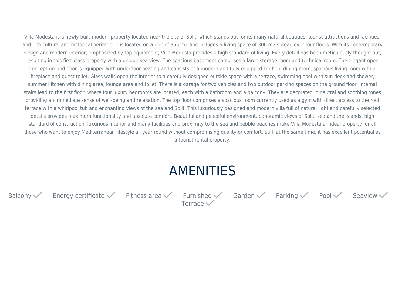Villa Modesta is a newly built modern property located near the city of Split, which stands out for its many natural beauties, tourist attractions and facilities, and rich cultural and historical heritage. It is located on a plot of 365 m2 and includes a living space of 300 m2 spread over four floors. With its contemporary design and modern interior, emphasized by top equipment, Villa Modesta provides a high standard of living. Every detail has been meticulously thought out, resulting in this first-class property with a unique sea view. The spacious basement comprises a large storage room and technical room. The elegant open concept ground floor is equipped with underfloor heating and consists of a modern and fully equipped kitchen, dining room, spacious living room with a fireplace and guest toilet. Glass walls open the interior to a carefully designed outside space with a terrace, swimming pool with sun deck and shower, summer kitchen with dining area, lounge area and toilet. There is a garage for two vehicles and two outdoor parking spaces on the ground floor. Internal stairs lead to the first floor, where four luxury bedrooms are located, each with a bathroom and a balcony. They are decorated in neutral and soothing tones providing an immediate sense of well-being and relaxation. The top floor comprises a spacious room currently used as a gym with direct access to the roof terrace with a whirlpool tub and enchanting views of the sea and Split. This luxuriously designed and modern villa full of natural light and carefully selected details provides maximum functionality and absolute comfort. Beautiful and peaceful environment, panoramic views of Split, sea and the islands, high standard of construction, luxurious interior and many facilities and proximity to the sea and pebble beaches make Villa Modesta an ideal property for all those who want to enjoy Mediterranean lifestyle all year round without compromising quality or comfort. Still, at the same time, it has excellent potential as a tourist rental property.

## AMENITIES

Balcony  $\checkmark$  Energy certificate  $\checkmark$  Fitness area  $\checkmark$  Furnished  $\checkmark$  Garden  $\checkmark$  Parking  $\checkmark$  Pool  $\checkmark$  Seaview  $\checkmark$ 

Terrace $\checkmark$